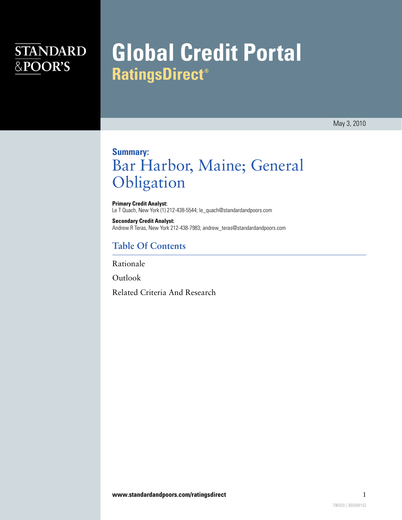## **STANDARD** &POOR'S

# **Global Credit Portal RatingsDirect®**

May 3, 2010

### **Summary:** Bar Harbor, Maine; General Obligation

**Primary Credit Analyst:** Le T Quach, New York (1) 212-438-5544; le\_quach@standardandpoors.com

**Secondary Credit Analyst:** Andrew R Teras, New York 212-438-7983; andrew\_teras@standardandpoors.com

#### **Table Of Contents**

[Rationale](#page-1-0)

[Outlook](#page-2-0)

[Related Criteria And Research](#page-3-0)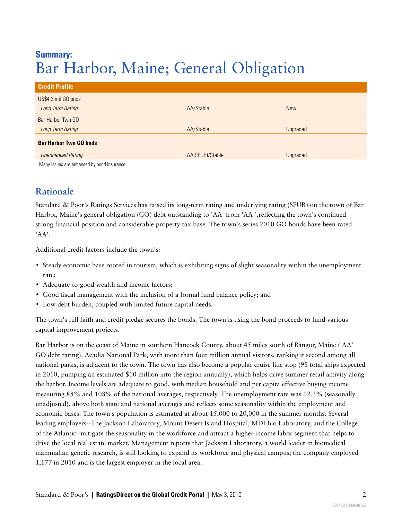### **Summary:** Bar Harbor, Maine; General Obligation

| <b>Credit Profile</b>                       |                 |            |
|---------------------------------------------|-----------------|------------|
| US\$4.3 mil GO bnds                         |                 |            |
| Long Term Rating                            | AA/Stable       | <b>New</b> |
| Bar Harbor Twn GO                           |                 |            |
| Long Term Rating                            | AA/Stable       | Upgraded   |
| <b>Bar Harbor Twn GO bnds</b>               |                 |            |
| <b>Unenhanced Rating</b>                    | AA(SPUR)/Stable | Upgraded   |
| Many issues are enhanced by bond insurance. |                 |            |

#### <span id="page-1-0"></span>**Rationale**

Standard & Poor's Ratings Services has raised its long-term rating and underlying rating (SPUR) on the town of Bar Harbor, Maine's general obligation (GO) debt outstanding to 'AA' from 'AA-',reflecting the town's continued strong financial position and considerable property tax base. The town's series 2010 GO bonds have been rated 'AA'.

Additional credit factors include the town's:

- Steady economic base rooted in tourism, which is exhibiting signs of slight seasonality within the unemployment rate;
- Adequate-to-good wealth and income factors;
- Good fiscal management with the inclusion of a formal fund balance policy; and
- Low debt burden, coupled with limited future capital needs.

The town's full faith and credit pledge secures the bonds. The town is using the bond proceeds to fund various capital improvement projects.

Bar Harbor is on the coast of Maine in southern Hancock County, about 45 miles south of Bangor, Maine ('AA' GO debt rating). Acadia National Park, with more than four million annual visitors, ranking it second among all national parks, is adjacent to the town. The town has also become a popular cruise line stop (98 total ships expected in 2010, pumping an estimated \$10 million into the region annually), which helps drive summer retail activity along the harbor. Income levels are adequate to good, with median household and per capita effective buying income measuring 88% and 108% of the national averages, respectively. The unemployment rate was 12.3% (seasonally unadjusted), above both state and national averages and reflects some seasonality within the employment and economic bases. The town's population is estimated at about 15,000 to 20,000 in the summer months. Several leading employers--The Jackson Laboratory, Mount Desert Island Hospital, MDI Bio Laboratory, and the College of the Atlantic--mitigate the seasonality in the workforce and attract a higher-income labor segment that helps to drive the local real estate market. Management reports that Jackson Laboratory, a world leader in biomedical mammalian genetic research, is still looking to expand its workforce and physical campus; the company employed 1,177 in 2010 and is the largest employer in the local area.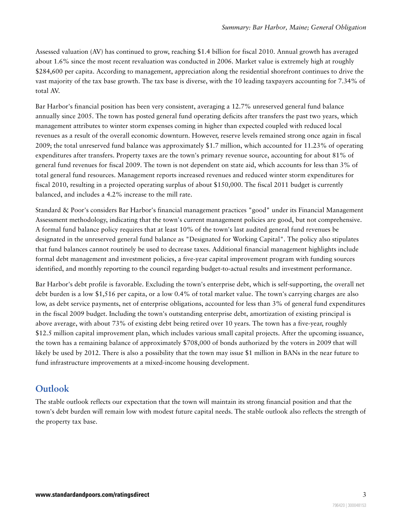Assessed valuation (AV) has continued to grow, reaching \$1.4 billion for fiscal 2010. Annual growth has averaged about 1.6% since the most recent revaluation was conducted in 2006. Market value is extremely high at roughly \$284,600 per capita. According to management, appreciation along the residential shorefront continues to drive the vast majority of the tax base growth. The tax base is diverse, with the 10 leading taxpayers accounting for 7.34% of total AV.

Bar Harbor's financial position has been very consistent, averaging a 12.7% unreserved general fund balance annually since 2005. The town has posted general fund operating deficits after transfers the past two years, which management attributes to winter storm expenses coming in higher than expected coupled with reduced local revenues as a result of the overall economic downturn. However, reserve levels remained strong once again in fiscal 2009; the total unreserved fund balance was approximately \$1.7 million, which accounted for 11.23% of operating expenditures after transfers. Property taxes are the town's primary revenue source, accounting for about 81% of general fund revenues for fiscal 2009. The town is not dependent on state aid, which accounts for less than 3% of total general fund resources. Management reports increased revenues and reduced winter storm expenditures for fiscal 2010, resulting in a projected operating surplus of about \$150,000. The fiscal 2011 budget is currently balanced, and includes a 4.2% increase to the mill rate.

Standard & Poor's considers Bar Harbor's financial management practices "good" under its Financial Management Assessment methodology, indicating that the town's current management policies are good, but not comprehensive. A formal fund balance policy requires that at least 10% of the town's last audited general fund revenues be designated in the unreserved general fund balance as "Designated for Working Capital". The policy also stipulates that fund balances cannot routinely be used to decrease taxes. Additional financial management highlights include formal debt management and investment policies, a five-year capital improvement program with funding sources identified, and monthly reporting to the council regarding budget-to-actual results and investment performance.

Bar Harbor's debt profile is favorable. Excluding the town's enterprise debt, which is self-supporting, the overall net debt burden is a low \$1,516 per capita, or a low 0.4% of total market value. The town's carrying charges are also low, as debt service payments, net of enterprise obligations, accounted for less than 3% of general fund expenditures in the fiscal 2009 budget. Including the town's outstanding enterprise debt, amortization of existing principal is above average, with about 73% of existing debt being retired over 10 years. The town has a five-year, roughly \$12.5 million capital improvement plan, which includes various small capital projects. After the upcoming issuance, the town has a remaining balance of approximately \$708,000 of bonds authorized by the voters in 2009 that will likely be used by 2012. There is also a possibility that the town may issue \$1 million in BANs in the near future to fund infrastructure improvements at a mixed-income housing development.

#### <span id="page-2-0"></span>**Outlook**

The stable outlook reflects our expectation that the town will maintain its strong financial position and that the town's debt burden will remain low with modest future capital needs. The stable outlook also reflects the strength of the property tax base.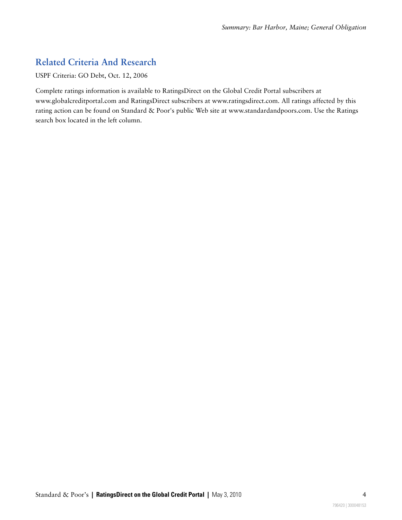### <span id="page-3-0"></span>**Related Criteria And Research**

USPF Criteria: GO Debt, Oct. 12, 2006

Complete ratings information is available to RatingsDirect on the Global Credit Portal subscribers at www.globalcreditportal.com and RatingsDirect subscribers at www.ratingsdirect.com. All ratings affected by this rating action can be found on Standard & Poor's public Web site at www.standardandpoors.com. Use the Ratings search box located in the left column.